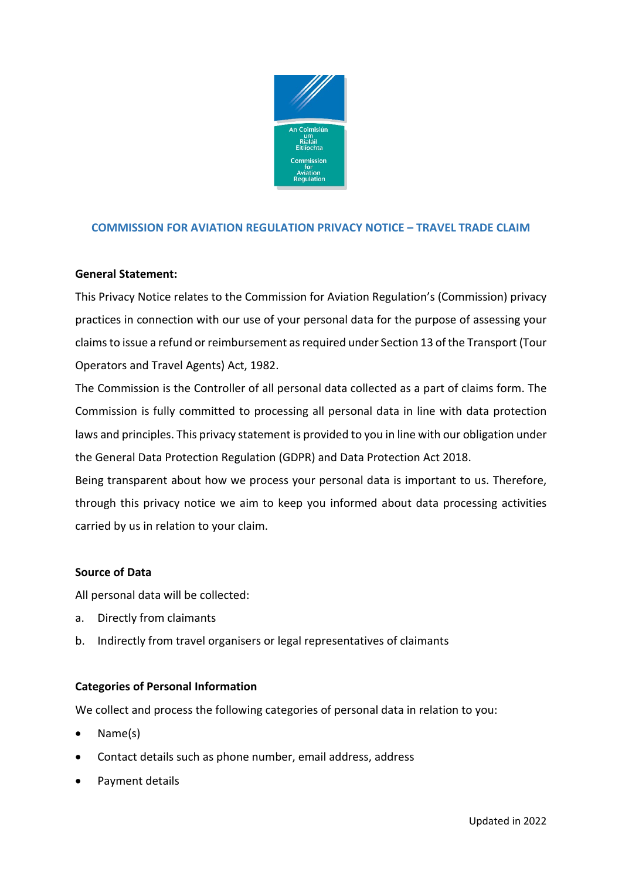

# **COMMISSION FOR AVIATION REGULATION PRIVACY NOTICE – TRAVEL TRADE CLAIM**

# **General Statement:**

This Privacy Notice relates to the Commission for Aviation Regulation's (Commission) privacy practices in connection with our use of your personal data for the purpose of assessing your claims to issue a refund or reimbursement as required under Section 13 of the Transport (Tour Operators and Travel Agents) Act, 1982.

The Commission is the Controller of all personal data collected as a part of claims form. The Commission is fully committed to processing all personal data in line with data protection laws and principles. This privacy statement is provided to you in line with our obligation under the General Data Protection Regulation (GDPR) and Data Protection Act 2018.

Being transparent about how we process your personal data is important to us. Therefore, through this privacy notice we aim to keep you informed about data processing activities carried by us in relation to your claim.

# **Source of Data**

All personal data will be collected:

- a. Directly from claimants
- b. Indirectly from travel organisers or legal representatives of claimants

# **Categories of Personal Information**

We collect and process the following categories of personal data in relation to you:

- Name(s)
- Contact details such as phone number, email address, address
- Payment details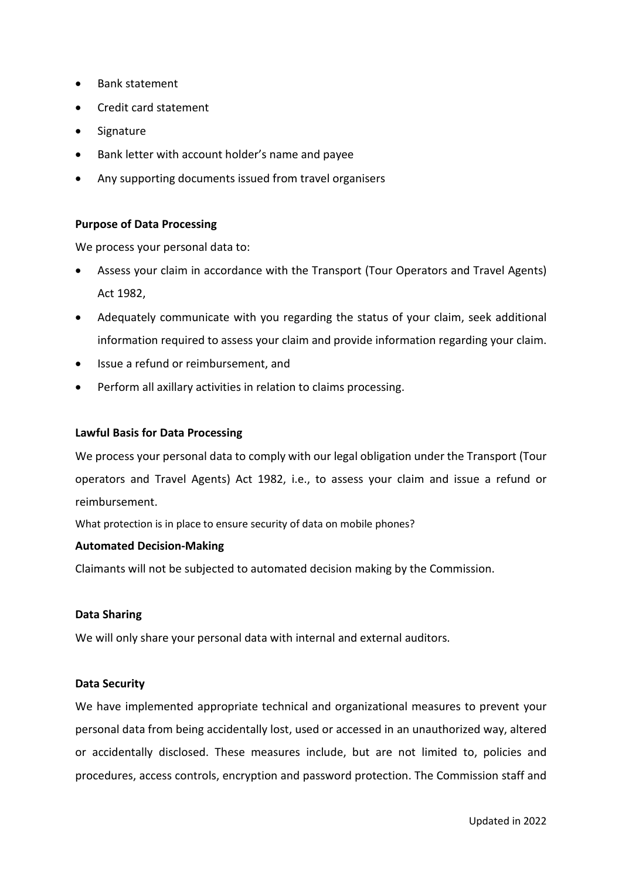- Bank statement
- Credit card statement
- **Signature**
- Bank letter with account holder's name and payee
- Any supporting documents issued from travel organisers

# **Purpose of Data Processing**

We process your personal data to:

- Assess your claim in accordance with the Transport (Tour Operators and Travel Agents) Act 1982,
- Adequately communicate with you regarding the status of your claim, seek additional information required to assess your claim and provide information regarding your claim.
- Issue a refund or reimbursement, and
- Perform all axillary activities in relation to claims processing.

### **Lawful Basis for Data Processing**

We process your personal data to comply with our legal obligation under the Transport (Tour operators and Travel Agents) Act 1982, i.e., to assess your claim and issue a refund or reimbursement.

What protection is in place to ensure security of data on mobile phones?

### **Automated Decision-Making**

Claimants will not be subjected to automated decision making by the Commission.

#### **Data Sharing**

We will only share your personal data with internal and external auditors.

# **Data Security**

We have implemented appropriate technical and organizational measures to prevent your personal data from being accidentally lost, used or accessed in an unauthorized way, altered or accidentally disclosed. These measures include, but are not limited to, policies and procedures, access controls, encryption and password protection. The Commission staff and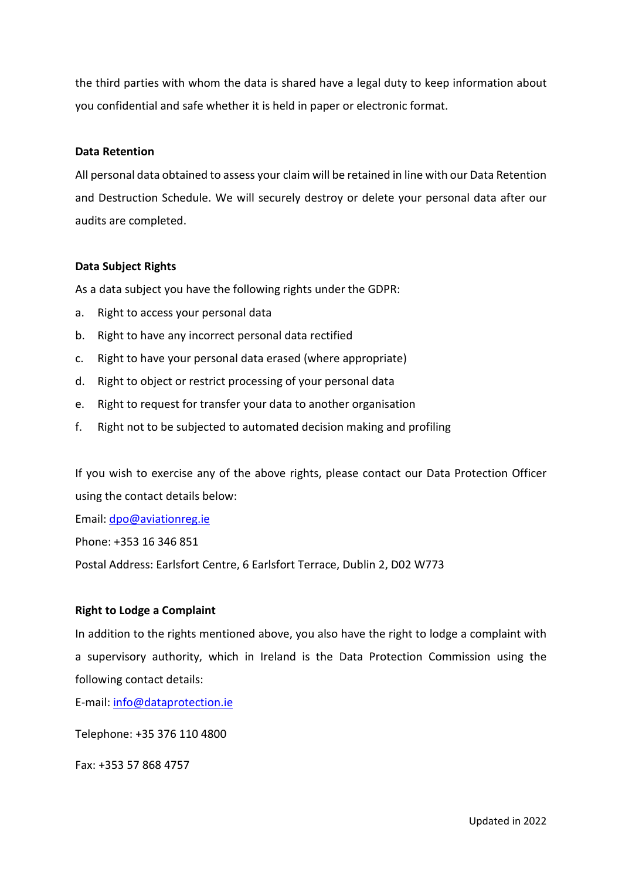the third parties with whom the data is shared have a legal duty to keep information about you confidential and safe whether it is held in paper or electronic format.

### **Data Retention**

All personal data obtained to assess your claim will be retained in line with our Data Retention and Destruction Schedule. We will securely destroy or delete your personal data after our audits are completed.

### **Data Subject Rights**

As a data subject you have the following rights under the GDPR:

- a. Right to access your personal data
- b. Right to have any incorrect personal data rectified
- c. Right to have your personal data erased (where appropriate)
- d. Right to object or restrict processing of your personal data
- e. Right to request for transfer your data to another organisation
- f. Right not to be subjected to automated decision making and profiling

If you wish to exercise any of the above rights, please contact our Data Protection Officer using the contact details below:

Email: [dpo@aviationreg.ie](mailto:dpo@aviationreg.ie)

Phone: +353 16 346 851

Postal Address: Earlsfort Centre, 6 Earlsfort Terrace, Dublin 2, D02 W773

#### **Right to Lodge a Complaint**

In addition to the rights mentioned above, you also have the right to lodge a complaint with a supervisory authority, which in Ireland is the Data Protection Commission using the following contact details:

E-mail: [info@dataprotection.ie](mailto:info@dataprotection.ie)

Telephone: +35 376 110 4800

Fax: +353 57 868 4757